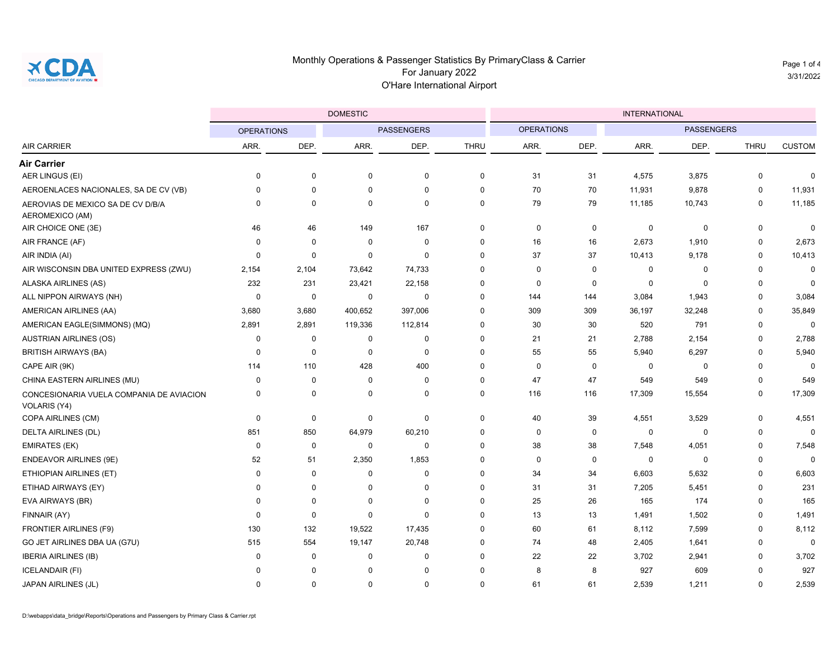

Page 1 of 4 3/31/2022

|                                                          |                   |             | <b>DOMESTIC</b>   |             | <b>INTERNATIONAL</b> |                   |             |                   |        |             |               |  |
|----------------------------------------------------------|-------------------|-------------|-------------------|-------------|----------------------|-------------------|-------------|-------------------|--------|-------------|---------------|--|
| <b>AIR CARRIER</b>                                       | <b>OPERATIONS</b> |             | <b>PASSENGERS</b> |             |                      | <b>OPERATIONS</b> |             | <b>PASSENGERS</b> |        |             |               |  |
|                                                          | ARR.              | DEP.        | ARR.              | DEP.        | <b>THRU</b>          | ARR.              | DEP.        | ARR.              | DEP.   | <b>THRU</b> | <b>CUSTOM</b> |  |
| <b>Air Carrier</b>                                       |                   |             |                   |             |                      |                   |             |                   |        |             |               |  |
| AER LINGUS (EI)                                          | 0                 | $\mathbf 0$ | 0                 | $\mathbf 0$ | $\mathbf 0$          | 31                | 31          | 4,575             | 3,875  | 0           | $\mathbf{0}$  |  |
| AEROENLACES NACIONALES, SA DE CV (VB)                    | 0                 | $\mathbf 0$ | $\mathbf 0$       | $\mathbf 0$ | $\mathbf 0$          | 70                | 70          | 11,931            | 9,878  | $\mathbf 0$ | 11,931        |  |
| AEROVIAS DE MEXICO SA DE CV D/B/A<br>AEROMEXICO (AM)     | 0                 | $\mathbf 0$ | $\mathbf 0$       | 0           | $\mathbf 0$          | 79                | 79          | 11,185            | 10,743 | 0           | 11,185        |  |
| AIR CHOICE ONE (3E)                                      | 46                | 46          | 149               | 167         | $\mathbf 0$          | $\mathbf 0$       | $\mathbf 0$ | $\mathbf 0$       | 0      | 0           | $\mathbf 0$   |  |
| AIR FRANCE (AF)                                          | 0                 | $\mathbf 0$ | $\mathbf 0$       | $\mathbf 0$ | $\mathbf 0$          | 16                | 16          | 2,673             | 1,910  | $\mathbf 0$ | 2,673         |  |
| AIR INDIA (AI)                                           | 0                 | $\mathbf 0$ | $\mathbf 0$       | $\mathbf 0$ | $\mathbf 0$          | 37                | 37          | 10,413            | 9,178  | $\mathbf 0$ | 10,413        |  |
| AIR WISCONSIN DBA UNITED EXPRESS (ZWU)                   | 2,154             | 2,104       | 73,642            | 74,733      | $\mathbf 0$          | $\mathbf 0$       | $\mathbf 0$ | $\mathbf 0$       | 0      | $\mathbf 0$ | $\mathbf 0$   |  |
| ALASKA AIRLINES (AS)                                     | 232               | 231         | 23,421            | 22,158      | $\mathbf 0$          | $\mathbf 0$       | $\mathbf 0$ | $\mathbf 0$       | 0      | $\mathbf 0$ | $\mathbf{0}$  |  |
| ALL NIPPON AIRWAYS (NH)                                  | 0                 | 0           | 0                 | $\mathbf 0$ | $\mathbf 0$          | 144               | 144         | 3,084             | 1,943  | $\mathbf 0$ | 3,084         |  |
| AMERICAN AIRLINES (AA)                                   | 3,680             | 3,680       | 400,652           | 397,006     | $\mathbf 0$          | 309               | 309         | 36,197            | 32,248 | $\mathbf 0$ | 35,849        |  |
| AMERICAN EAGLE(SIMMONS) (MQ)                             | 2,891             | 2,891       | 119,336           | 112,814     | $\mathbf 0$          | 30                | 30          | 520               | 791    | $\mathbf 0$ | $\Omega$      |  |
| <b>AUSTRIAN AIRLINES (OS)</b>                            | 0                 | 0           | 0                 | 0           | $\mathbf 0$          | 21                | 21          | 2,788             | 2,154  | 0           | 2,788         |  |
| <b>BRITISH AIRWAYS (BA)</b>                              | 0                 | $\mathbf 0$ | $\mathbf 0$       | $\mathbf 0$ | $\mathbf 0$          | 55                | 55          | 5,940             | 6,297  | $\mathbf 0$ | 5,940         |  |
| CAPE AIR (9K)                                            | 114               | 110         | 428               | 400         | $\Omega$             | $\mathbf 0$       | $\Omega$    | $\mathbf 0$       | 0      | $\mathbf 0$ | $\Omega$      |  |
| CHINA EASTERN AIRLINES (MU)                              | 0                 | $\mathbf 0$ | $\mathbf 0$       | 0           | $\mathbf 0$          | 47                | 47          | 549               | 549    | 0           | 549           |  |
| CONCESIONARIA VUELA COMPANIA DE AVIACION<br>VOLARIS (Y4) | 0                 | $\mathbf 0$ | 0                 | $\mathbf 0$ | $\mathbf 0$          | 116               | 116         | 17,309            | 15,554 | 0           | 17,309        |  |
| COPA AIRLINES (CM)                                       | 0                 | $\mathbf 0$ | 0                 | $\pmb{0}$   | $\mathbf 0$          | 40                | 39          | 4,551             | 3,529  | $\pmb{0}$   | 4,551         |  |
| DELTA AIRLINES (DL)                                      | 851               | 850         | 64,979            | 60,210      | $\mathbf 0$          | $\mathbf 0$       | $\mathbf 0$ | $\mathbf 0$       | 0      | 0           | $\mathbf 0$   |  |
| <b>EMIRATES (EK)</b>                                     | 0                 | $\mathbf 0$ | $\mathbf 0$       | $\mathbf 0$ | $\mathbf 0$          | 38                | 38          | 7,548             | 4,051  | $\mathbf 0$ | 7,548         |  |
| ENDEAVOR AIRLINES (9E)                                   | 52                | 51          | 2,350             | 1,853       | $\mathbf 0$          | $\mathbf 0$       | $\mathbf 0$ | $\mathbf 0$       | 0      | $\mathbf 0$ | $\mathbf{0}$  |  |
| ETHIOPIAN AIRLINES (ET)                                  | 0                 | 0           | 0                 | 0           | $\mathbf 0$          | 34                | 34          | 6,603             | 5,632  | 0           | 6,603         |  |
| ETIHAD AIRWAYS (EY)                                      | 0                 | $\Omega$    | $\mathbf 0$       | 0           | $\mathbf 0$          | 31                | 31          | 7,205             | 5,451  | $\mathbf 0$ | 231           |  |
| EVA AIRWAYS (BR)                                         | $\Omega$          | $\mathbf 0$ | 0                 | $\pmb{0}$   | $\Omega$             | 25                | 26          | 165               | 174    | $\mathbf 0$ | 165           |  |
| FINNAIR (AY)                                             | 0                 | $\mathbf 0$ | 0                 | 0           | $\Omega$             | 13                | 13          | 1,491             | 1,502  | 0           | 1,491         |  |
| <b>FRONTIER AIRLINES (F9)</b>                            | 130               | 132         | 19,522            | 17,435      | $\mathbf 0$          | 60                | 61          | 8,112             | 7,599  | $\mathbf 0$ | 8,112         |  |
| GO JET AIRLINES DBA UA (G7U)                             | 515               | 554         | 19,147            | 20,748      | $\Omega$             | 74                | 48          | 2,405             | 1,641  | $\mathbf 0$ | $\Omega$      |  |
| <b>IBERIA AIRLINES (IB)</b>                              | 0                 | $\mathbf 0$ | 0                 | 0           | 0                    | 22                | 22          | 3,702             | 2,941  | $\mathbf 0$ | 3,702         |  |
| <b>ICELANDAIR (FI)</b>                                   | 0                 | $\Omega$    | $\mathbf 0$       | $\mathbf 0$ | $\mathbf 0$          | 8                 | 8           | 927               | 609    | $\mathbf 0$ | 927           |  |
| JAPAN AIRLINES (JL)                                      | 0                 | $\Omega$    | $\Omega$          | $\mathbf 0$ | $\Omega$             | 61                | 61          | 2,539             | 1,211  | $\Omega$    | 2,539         |  |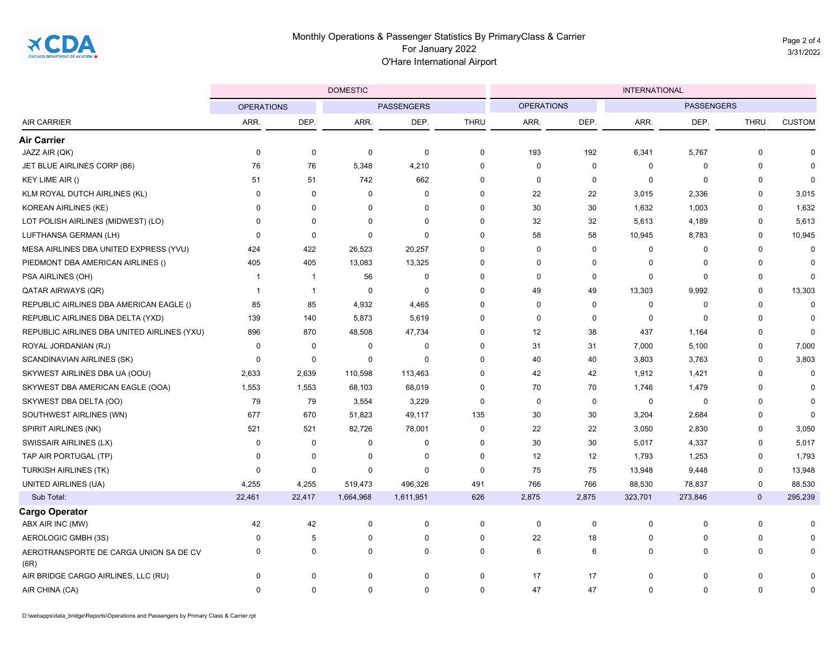Page 2 of 4 3/31/2022

|                                                |                   |                | <b>DOMESTIC</b>   |             |             | <b>INTERNATIONAL</b> |             |             |                   |             |               |
|------------------------------------------------|-------------------|----------------|-------------------|-------------|-------------|----------------------|-------------|-------------|-------------------|-------------|---------------|
| <b>AIR CARRIER</b>                             | <b>OPERATIONS</b> |                | <b>PASSENGERS</b> |             |             | <b>OPERATIONS</b>    |             |             | <b>PASSENGERS</b> |             |               |
|                                                | ARR.              | DEP.           | ARR.              | DEP.        | <b>THRU</b> | ARR.                 | DEP.        | ARR.        | DEP.              | <b>THRU</b> | <b>CUSTOM</b> |
| <b>Air Carrier</b>                             |                   |                |                   |             |             |                      |             |             |                   |             |               |
| JAZZ AIR (QK)                                  | 0                 | 0              | 0                 | $\mathbf 0$ | $\mathbf 0$ | 193                  | 192         | 6,341       | 5,767             | 0           | $\Omega$      |
| JET BLUE AIRLINES CORP (B6)                    | 76                | 76             | 5,348             | 4,210       | $\mathbf 0$ | $\mathbf 0$          | $\mathbf 0$ | 0           | $\mathbf 0$       | 0           | $\Omega$      |
| KEY LIME AIR ()                                | 51                | 51             | 742               | 662         | $\mathbf 0$ | $\mathbf 0$          | $\mathbf 0$ | 0           | $\mathbf 0$       | 0           | $\mathbf 0$   |
| KLM ROYAL DUTCH AIRLINES (KL)                  | 0                 | $\Omega$       | $\mathbf 0$       | $\mathbf 0$ | $\Omega$    | 22                   | 22          | 3,015       | 2,336             | $\mathbf 0$ | 3,015         |
| <b>KOREAN AIRLINES (KE)</b>                    | 0                 | $\Omega$       | 0                 | 0           | $\Omega$    | 30                   | 30          | 1,632       | 1,003             | 0           | 1,632         |
| LOT POLISH AIRLINES (MIDWEST) (LO)             | 0                 | $\Omega$       | 0                 | $\mathbf 0$ | $\mathbf 0$ | 32                   | 32          | 5,613       | 4,189             | 0           | 5,613         |
| LUFTHANSA GERMAN (LH)                          | 0                 | $\Omega$       | $\mathbf 0$       | $\mathbf 0$ | $\Omega$    | 58                   | 58          | 10,945      | 8,783             | $\mathbf 0$ | 10,945        |
| MESA AIRLINES DBA UNITED EXPRESS (YVU)         | 424               | 422            | 26,523            | 20,257      | $\Omega$    | $\mathbf 0$          | $\mathbf 0$ | 0           | $\mathbf 0$       | $\mathbf 0$ | 0             |
| PIEDMONT DBA AMERICAN AIRLINES ()              | 405               | 405            | 13,083            | 13,325      | $\mathbf 0$ | $\mathbf 0$          | $\mathbf 0$ | 0           | $\mathbf 0$       | 0           | $\mathbf 0$   |
| PSA AIRLINES (OH)                              | -1                | $\overline{1}$ | 56                | $\mathbf 0$ | $\Omega$    | $\Omega$             | $\mathbf 0$ | $\mathbf 0$ | $\mathbf 0$       | $\mathbf 0$ | $\Omega$      |
| <b>QATAR AIRWAYS (QR)</b>                      | $\mathbf{1}$      | $\overline{1}$ | 0                 | $\mathbf 0$ | $\Omega$    | 49                   | 49          | 13,303      | 9,992             | $\mathbf 0$ | 13,303        |
| REPUBLIC AIRLINES DBA AMERICAN EAGLE ()        | 85                | 85             | 4,932             | 4,465       | $\Omega$    | $\mathbf 0$          | $\Omega$    | 0           | $\pmb{0}$         | 0           | $\mathbf 0$   |
| REPUBLIC AIRLINES DBA DELTA (YXD)              | 139               | 140            | 5,873             | 5,619       | $\Omega$    | $\mathbf 0$          | $\mathbf 0$ | 0           | $\mathbf 0$       | $\mathbf 0$ | $\Omega$      |
| REPUBLIC AIRLINES DBA UNITED AIRLINES (YXU)    | 896               | 870            | 48,508            | 47,734      | $\Omega$    | 12                   | 38          | 437         | 1,164             | 0           | $\Omega$      |
| ROYAL JORDANIAN (RJ)                           | 0                 | $\Omega$       | $\mathbf 0$       | $\pmb{0}$   | $\Omega$    | 31                   | 31          | 7,000       | 5,100             | $\mathbf 0$ | 7,000         |
| SCANDINAVIAN AIRLINES (SK)                     | $\mathbf 0$       | $\Omega$       | 0                 | $\mathbf 0$ | $\Omega$    | 40                   | 40          | 3,803       | 3,763             | $\mathbf 0$ | 3,803         |
| SKYWEST AIRLINES DBA UA (OOU)                  | 2,633             | 2,639          | 110,598           | 113,463     | $\mathbf 0$ | 42                   | 42          | 1,912       | 1,421             | 0           | $\mathbf 0$   |
| SKYWEST DBA AMERICAN EAGLE (OOA)               | 1,553             | 1,553          | 68,103            | 68,019      | $\Omega$    | 70                   | 70          | 1,746       | 1,479             | $\mathbf 0$ | $\Omega$      |
| SKYWEST DBA DELTA (OO)                         | 79                | 79             | 3,554             | 3,229       | $\mathbf 0$ | $\mathbf 0$          | $\mathbf 0$ | 0           | $\mathbf 0$       | $\mathbf 0$ | $\Omega$      |
| SOUTHWEST AIRLINES (WN)                        | 677               | 670            | 51,823            | 49,117      | 135         | 30                   | 30          | 3,204       | 2,684             | 0           | $\Omega$      |
| SPIRIT AIRLINES (NK)                           | 521               | 521            | 82,726            | 78,001      | $\Omega$    | 22                   | 22          | 3,050       | 2,830             | $\mathbf 0$ | 3,050         |
| SWISSAIR AIRLINES (LX)                         | 0                 | $\Omega$       | 0                 | $\mathbf 0$ | $\mathbf 0$ | 30                   | 30          | 5,017       | 4,337             | 0           | 5,017         |
| TAP AIR PORTUGAL (TP)                          | 0                 | $\Omega$       | 0                 | 0           | $\mathbf 0$ | 12                   | 12          | 1,793       | 1,253             | 0           | 1,793         |
| <b>TURKISH AIRLINES (TK)</b>                   | 0                 | $\Omega$       | $\mathbf 0$       | $\mathbf 0$ | $\mathbf 0$ | 75                   | 75          | 13,948      | 9,448             | $\mathbf 0$ | 13,948        |
| UNITED AIRLINES (UA)                           | 4,255             | 4,255          | 519,473           | 496,326     | 491         | 766                  | 766         | 88,530      | 78,837            | 0           | 88,530        |
| Sub Total:                                     | 22,461            | 22,417         | 1,664,968         | 1,611,951   | 626         | 2,875                | 2,875       | 323,701     | 273,846           | $\mathbf 0$ | 295,239       |
| <b>Cargo Operator</b>                          |                   |                |                   |             |             |                      |             |             |                   |             |               |
| ABX AIR INC (MW)                               | 42                | 42             | $\pmb{0}$         | $\pmb{0}$   | $\mathbf 0$ | 0                    | $\mathbf 0$ | $\mathbf 0$ | $\mathbf 0$       | 0           | $\Omega$      |
| AEROLOGIC GMBH (3S)                            | 0                 | 5              | 0                 | $\mathbf 0$ | $\Omega$    | 22                   | 18          | $\Omega$    | $\mathbf 0$       | 0           | $\Omega$      |
| AEROTRANSPORTE DE CARGA UNION SA DE CV<br>(6R) | 0                 | 0              | 0                 | 0           | 0           | 6                    | 6           | 0           | $\mathbf 0$       | 0           | 0             |
| AIR BRIDGE CARGO AIRLINES, LLC (RU)            | 0                 | 0              | 0                 | $\mathbf 0$ | 0           | 17                   | 17          | 0           | $\mathbf 0$       | 0           | 0             |
| AIR CHINA (CA)                                 | 0                 | 0              | $\mathbf 0$       | $\mathbf 0$ | $\mathbf 0$ | 47                   | 47          | $\Omega$    | $\mathbf 0$       | $\mathbf 0$ | $\mathbf 0$   |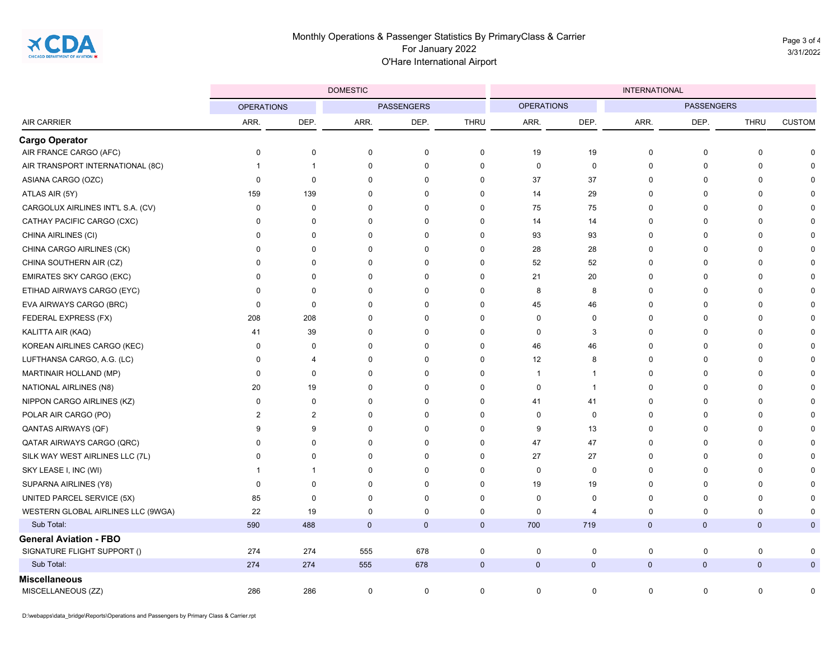Page 3 of 4 3/31/2022

|                                                              |                   |                | <b>DOMESTIC</b>   |             |             | <b>INTERNATIONAL</b> |             |                   |              |              |               |  |
|--------------------------------------------------------------|-------------------|----------------|-------------------|-------------|-------------|----------------------|-------------|-------------------|--------------|--------------|---------------|--|
| <b>AIR CARRIER</b>                                           | <b>OPERATIONS</b> |                | <b>PASSENGERS</b> |             |             | <b>OPERATIONS</b>    |             | <b>PASSENGERS</b> |              |              |               |  |
|                                                              | ARR.              | DEP.           | ARR.              | DEP.        | <b>THRU</b> | ARR.                 | DEP.        | ARR.              | DEP.         | <b>THRU</b>  | <b>CUSTOM</b> |  |
| <b>Cargo Operator</b>                                        |                   |                |                   |             |             |                      |             |                   |              |              |               |  |
| AIR FRANCE CARGO (AFC)                                       | 0                 | 0              | $\mathbf 0$       | 0           | 0           | 19                   | 19          | $\mathbf 0$       | $\mathbf 0$  | $\mathbf 0$  | $\Omega$      |  |
| AIR TRANSPORT INTERNATIONAL (8C)                             | -1                | $\overline{1}$ | $\mathbf 0$       | $\mathbf 0$ | 0           | $\mathbf 0$          | $\mathbf 0$ | $\pmb{0}$         | $\pmb{0}$    | $\mathbf 0$  | $\Omega$      |  |
| ASIANA CARGO (OZC)                                           | 0                 | $\mathbf 0$    | $\mathbf 0$       | $\mathbf 0$ | $\mathbf 0$ | 37                   | 37          | $\Omega$          | $\mathbf 0$  | $\Omega$     |               |  |
| ATLAS AIR (5Y)                                               | 159               | 139            | $\mathbf 0$       | $\mathbf 0$ | 0           | 14                   | 29          | $\Omega$          | $\Omega$     | $\Omega$     |               |  |
| CARGOLUX AIRLINES INT'L S.A. (CV)                            | 0                 | 0              | $\mathbf 0$       | 0           | 0           | 75                   | 75          | $\Omega$          | $\mathbf 0$  | $\Omega$     |               |  |
| CATHAY PACIFIC CARGO (CXC)                                   | 0                 | $\Omega$       | $\mathbf 0$       | $\mathbf 0$ | $\mathbf 0$ | 14                   | 14          | $\Omega$          | $\mathbf 0$  | $\Omega$     |               |  |
| CHINA AIRLINES (CI)                                          | $\Omega$          | $\Omega$       | $\mathbf 0$       | $\mathbf 0$ | $\Omega$    | 93                   | 93          | $\Omega$          | 0            | $\Omega$     |               |  |
| CHINA CARGO AIRLINES (CK)                                    | $\Omega$          | $\Omega$       | $\mathbf 0$       | $\mathbf 0$ | $\mathbf 0$ | 28                   | 28          | $\Omega$          | $\mathbf 0$  | $\Omega$     |               |  |
| CHINA SOUTHERN AIR (CZ)                                      | $\Omega$          | $\Omega$       | $\mathbf 0$       | $\mathbf 0$ | $\mathbf 0$ | 52                   | 52          | $\Omega$          | $\mathbf 0$  | $\Omega$     |               |  |
| <b>EMIRATES SKY CARGO (EKC)</b>                              | 0                 | $\Omega$       | $\mathbf 0$       | 0           | 0           | 21                   | 20          | $\Omega$          | 0            | $\mathbf 0$  | U             |  |
| ETIHAD AIRWAYS CARGO (EYC)                                   | 0                 | $\Omega$       | $\mathbf 0$       | $\mathbf 0$ | 0           | 8                    | 8           | $\Omega$          | 0            | $\mathbf 0$  |               |  |
| EVA AIRWAYS CARGO (BRC)                                      | $\mathbf 0$       | $\mathbf 0$    | $\mathbf 0$       | $\mathbf 0$ | $\mathbf 0$ | 45                   | 46          | $\Omega$          | $\mathbf 0$  | $\Omega$     |               |  |
| FEDERAL EXPRESS (FX)                                         | 208               | 208            | $\mathbf 0$       | $\mathbf 0$ | $\mathbf 0$ | 0                    | $\mathbf 0$ | $\Omega$          | $\Omega$     | $\Omega$     |               |  |
| KALITTA AIR (KAQ)                                            | 41                | 39             | $\mathbf 0$       | 0           | 0           | 0                    | 3           | $\Omega$          | $\Omega$     | $\Omega$     |               |  |
| KOREAN AIRLINES CARGO (KEC)                                  | 0                 | $\mathbf 0$    | $\mathbf 0$       | $\mathbf 0$ | $\mathbf 0$ | 46                   | 46          | $\Omega$          | $\mathbf 0$  | $\Omega$     |               |  |
| LUFTHANSA CARGO, A.G. (LC)                                   | 0                 | $\overline{4}$ | $\mathbf 0$       | $\mathbf 0$ | $\mathbf 0$ | 12                   | 8           | $\Omega$          | $\mathbf 0$  | $\mathbf 0$  |               |  |
| MARTINAIR HOLLAND (MP)                                       | 0                 | $\mathbf 0$    | $\mathbf 0$       | $\mathbf 0$ | $\mathbf 0$ | $\mathbf{1}$         | -1          | $\Omega$          | $\mathbf 0$  | $\Omega$     |               |  |
| NATIONAL AIRLINES (N8)                                       | 20                | 19             | $\mathbf 0$       | $\mathbf 0$ | 0           | 0                    | -1          | $\Omega$          | $\Omega$     | $\Omega$     |               |  |
| NIPPON CARGO AIRLINES (KZ)                                   | 0                 | $\mathbf 0$    | $\mathbf 0$       | 0           | 0           | 41                   | 41          | $\Omega$          | $\Omega$     | $\Omega$     |               |  |
| POLAR AIR CARGO (PO)                                         | $\overline{2}$    | $\overline{2}$ | $\mathbf 0$       | $\mathbf 0$ | $\Omega$    | $\mathbf 0$          | $\mathbf 0$ | $\Omega$          | $\Omega$     | $\Omega$     |               |  |
| QANTAS AIRWAYS (QF)                                          | 9                 | 9              | $\mathbf 0$       | $\mathbf 0$ | $\mathbf 0$ | 9                    | 13          | $\Omega$          | $\Omega$     | $\Omega$     |               |  |
| <b>QATAR AIRWAYS CARGO (QRC)</b>                             | $\Omega$          | $\Omega$       | $\mathbf 0$       | $\mathbf 0$ | $\mathbf 0$ | 47                   | 47          | $\Omega$          | $\Omega$     | $\Omega$     |               |  |
| SILK WAY WEST AIRLINES LLC (7L)                              | $\Omega$          | $\Omega$       | $\mathbf 0$       | 0           | 0           | 27                   | 27          | $\Omega$          | $\mathbf 0$  | $\Omega$     |               |  |
| SKY LEASE I, INC (WI)                                        | -1                | -1             | $\mathbf 0$       | $\mathbf 0$ | $\mathbf 0$ | $\mathbf 0$          | $\mathbf 0$ | $\Omega$          | $\mathbf 0$  | $\Omega$     |               |  |
| SUPARNA AIRLINES (Y8)                                        | $\mathbf 0$       | $\mathbf 0$    | $\mathbf 0$       | $\mathbf 0$ | $\mathbf 0$ | 19                   | 19          | $\Omega$          | $\mathbf 0$  | $\Omega$     | $\Omega$      |  |
| UNITED PARCEL SERVICE (5X)                                   | 85                | $\Omega$       | $\mathbf 0$       | $\mathbf 0$ | $\mathbf 0$ | $\mathbf 0$          | $\mathbf 0$ | $\Omega$          | $\Omega$     | $\Omega$     | $\Omega$      |  |
| WESTERN GLOBAL AIRLINES LLC (9WGA)                           | 22                | 19             | $\mathbf 0$       | $\mathbf 0$ | 0           | 0                    | 4           | $\Omega$          | $\mathbf 0$  | $\mathbf 0$  | 0             |  |
| Sub Total:                                                   | 590               | 488            | $\mathbf{0}$      | $\mathbf 0$ | $\mathbf 0$ | 700                  | 719         | $\mathbf{0}$      | $\mathbf 0$  | $\mathbf{0}$ | $\mathbf 0$   |  |
| <b>General Aviation - FBO</b><br>SIGNATURE FLIGHT SUPPORT () | 274               | 274            | 555               | 678         | 0           | $\mathbf 0$          | 0           | $\mathbf 0$       | 0            | $\mathbf 0$  | 0             |  |
| Sub Total:                                                   | 274               | 274            | 555               | 678         | $\mathbf 0$ | $\mathbf 0$          | $\mathbf 0$ | $\mathbf{0}$      | $\mathbf{0}$ | $\mathbf{0}$ | $\mathbf{0}$  |  |
| <b>Miscellaneous</b>                                         |                   |                |                   |             |             |                      |             |                   |              |              |               |  |
| MISCELLANEOUS (ZZ)                                           | 286               | 286            | $\mathbf 0$       | 0           | 0           | $\mathbf 0$          | $\mathbf 0$ | 0                 | 0            | $\mathbf 0$  | 0             |  |

D:\webapps\data\_bridge\Reports\Operations and Passengers by Primary Class & Carrier.rpt